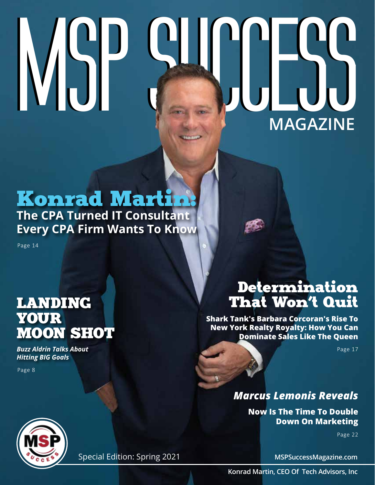# $MSE$ **MAGAZINE**

# Konrad Martin:

### **The CPA Turned IT Consultant Every CPA Firm Wants To Know**

Page 14

## LANDING YOUR MOON SHOT

*Buzz Aldrin Talks About Hitting BIG Goals*

Page 8

# Determination That Won't Quit

**Shark Tank's Barbara Corcoran's Rise To New York Realty Royalty: How You Can Dominate Sales Like The Queen**

Page 17

#### *Marcus Lemonis Reveals*

**Now Is The Time To Double Down On Marketing**

Page 22



Special Edition: Spring 2021

**MSPSuccessMagazine.com**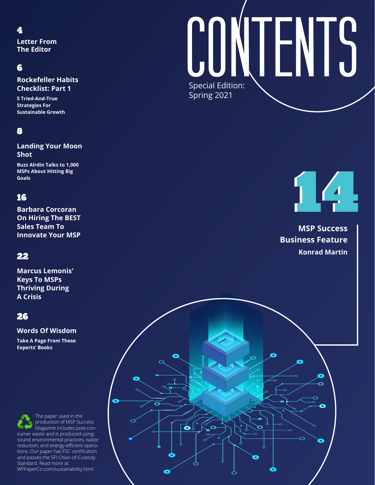#### 4

**Letter From The Editor** 

#### 6

**Rockefeller Habits Checklist: Part 1**

**5 Tried-And-True Strategies For Sustainable Growth**

#### 8

**Landing Your Moon Shot**

**Buzz Alrdin Talks to 1,000 MSPs About Hitting Big Goals**

#### 16

**Barbara Corcoran On Hiring The BEST Sales Team To Innovate Your MSP**

#### 22

**Marcus Lemonis' Keys To MSPs Thriving During A Crisis**

#### 26

#### **Words Of Wisdom**

**Take A Page From These Experts' Books**

Buccess more at the second of the MEPaperCo.com/sustainability.html. The paper used in the production of MSP Success Magazine includes post-consumer waste and is produced using sound environmental practices, waste reduction, and energy-efficient operations. Our paper has FSC certification and passes the SFI Chain-of-Custody Standard. Read more at

# Special Edition: Spring 2021 **CONTENTS**

14 14

**MSP Success Business Feature Konrad Martin**